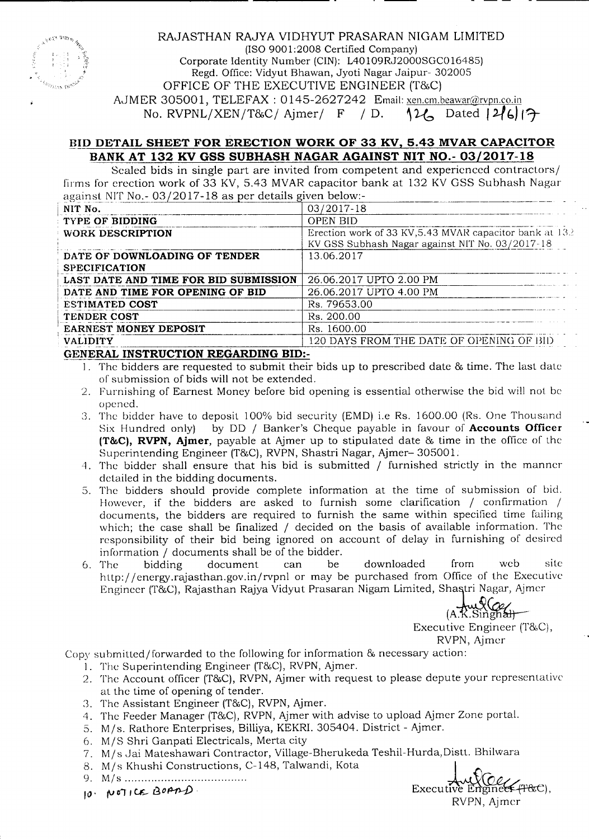

### RAJASTHAN RAJYA VIDHYUT PRASARAN NIGAM LIMITED (ISO 9001:2008 Certified Company) Corporate Identity Number (CIN): L40109RJ2000SGC016485) Regd. Office: Vidyut Bhawan, Jyoti Nagar Jaipur- 302005

OFFICE OF THE EXECUTIVE ENGINEER (T&C)

AJMER 305001, TELEFAX: 0145-2627242 Email: xen.cm.beawar@rvpn.co.in

No. RVPNL/XEN/T&C/ Ajmer/  $F / D$ .  $12\ell$  Dated  $|2\ell_6|$   $|\mathcal{F}|$ 

## BID DETAIL SHEET FOR ERECTION WORK OF 33 KV, 5.43 MVAR CAPACITOR BANK AT 132 KV GSS SUBHASH NAGAR AGAINST NIT NO.- 03/2017-18

Scaled bids in single part are invited from competent and experienced contractors/ firms for erection work of 33 KV, 5.43 MVAR capacitor bank at 132 KV GSS Subhash Nagar against NIT No.-  $0.3/2017 - 18$  as per details given below:-

| NIT No.                                  | 03/2017-18                                               |
|------------------------------------------|----------------------------------------------------------|
| <b>TYPE OF BIDDING</b>                   | <b>OPEN BID</b>                                          |
| WORK DESCRIPTION                         | Erection work of 33 KV, 5.43 MVAR capacitor bank at 13.2 |
|                                          | KV GSS Subhash Nagar against NIT No. 03/2017-18          |
| DATE OF DOWNLOADING OF TENDER            | 13.06.2017                                               |
| <b>SPECIFICATION</b>                     |                                                          |
| LAST DATE AND TIME FOR BID SUBMISSION    | 26.06.2017 UPTO 2.00 PM                                  |
| DATE AND TIME FOR OPENING OF BID         | 26.06.2017 UPTO 4.00 PM                                  |
| <b>ESTIMATED COST</b>                    | Rs. 79653.00                                             |
| TENDER COST                              | Rs. 200.00                                               |
| <b>EARNEST MONEY DEPOSIT</b>             | Rs. 1600.00                                              |
| <b>VALIDITY</b>                          | 120 DAYS FROM THE DATE OF OPENING OF BID                 |
| CURRENT AT INCREDITORIAN DECADEDING BID. |                                                          |

### GENERAL INSTRUCTION REGARDING BID:-

- I. The bidders are requested to submit their bids up to prescribed date & time. The last date of submission of bids will not be extended.
- 2. Furnishing of Earnest Money before bid opening is essential otherwise the bid will not be opened.
- 3. The bidder have to deposit 100% bid security (EMD) i.e Rs. 1600.00 (Rs. One Thousand Six Hundred only) by DO / Banker's Cheque payable in favour of Accounts Officer (T&C), RVPN, Ajmer, payable at Ajmer up to stipulated date & time in the office of the Superintending Engineer (T&C), RVPN, Shastri Nagar, Ajmer- 305001.
- 4. The bidder shall ensure that his bid is submitted / furnished strictly in the manner detailed in the bidding documents.
- 5. The bidders should provide complete information at the time of submission of bid. However, if the bidders are asked to furnish some clarification / confirmation / documents, the bidders are required to furnish the same within specified time failing which; the case shall be finalized / decided on the basis of available information. The responsibility of their bid being ignored on account of delay in furnishing of desired information / documents shall be of the bidder.
- 6. The bidding document can be downloaded from web site http://energy.rajasthan.gov.in/rvpnl or may be purchased from Office of the Executive Engineer (T&C), Rajasthan Rajya Vidyut Prasaran Nigam Limited, Shastri Nagar, Ajmer

(A.K.

Executive Engineer (T&C), RVPN, Ajmer

Copy submitted/forwarded to the following for information & necessary action:

- 1. The Superintending Engineer (T&C), RVPN, Ajmer.
- 2. The Account officer (T&C), RVPN, Ajmer with request to please depute your representative at the time of opening of tender.
- 3. The Assistant Engineer (T&C), RVPN, Ajmer.
- 4. The Feeder Manager (T&C), RVPN, Ajmer with advise to upload Ajmer Zone portal.
- 5. M/s. Rathore Enterprises, Billiya, KEKRI.305404. District Ajmcr.
- 6. M/ S Shri Ganpati Electricals, Merta city
- 7. M/s Jai Mateshawari Contractor, Village-Bherukeda Teshil-Hurda, Distt. Bhilwara<br>8. M/s Khushi Constructions, C-148, Talwandi, Kota
- 
- 
- 10<sup>*'*</sup> NOTICE BOAND</sup>

~: ~~: .~~~~\_.~.i.~~~~~~~~~~~.~.~.' ..C-148, Talwandi, Kota I *(:]((jt// r.: ,* RVPN, Ajmcr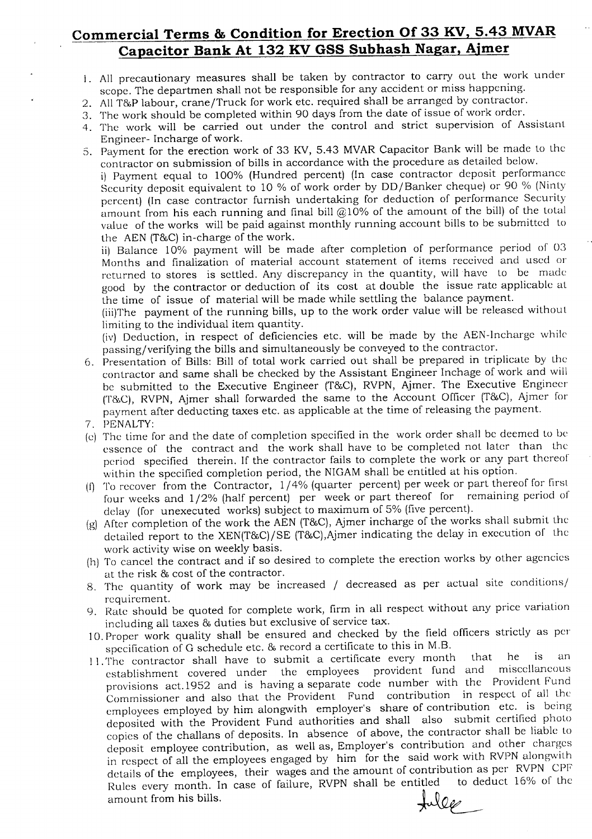# **Commercial Terms & Condition for Erection Of 33 KV, 5.43 MVAR Capacitor Bank At 132 KV GSS Subhash Nagar, Ajmer**

- I. All precautionary measures shall be taken by contractor to carry out the work under scope. The departmen shall not be responsible for any accident or miss happening.
- 2. AllT&P labour, crane/Truck for work etc. required shall be arranged by contractor.
- 3. The work should be completed within 90 days from the date of issue of work order.
- 4. The work will be carried out under the control and strict supervision of Assistant Engineer- Incharge of work.
- 5. Payment for the erection work of 33 KY, 5.43 MVARCapacitor Bank will be made to the eontractor on submission of bills in accordance with the procedure as detailed below. i) Payment equal to 100% (Hundred percent) (In case contractor deposit performance Security deposit equivalent to 10 % of work order by DO/Banker cheque) or 90 % (Ninty percent) (In case contractor furnish undertaking for deduction of performance Security amount from his each running and final bill  $@10\%$  of the amount of the bill) of the total value of the works will be paid against monthly running account bills to be submitted to the AEN (T&C) in-charge of the work.

ii) Balance 10% payment will be made after completion of performance period of 03 Months and finalization of material account statement of items received and used or returned to stores is settled. Any discrepancy in the quantity, will have to be made good by the contractor or deduction of its cost at double the issue rate applicable at the time of issue of material will be made while settling the balance payment.

(iii)The payment of the running bills, up to the work order value will be released without limiting to the individual item quantity.

(iv) Deduction, in respect of deficiencies etc. will be made by the AEN-Ineharge while passing/verifying the bills and simultaneously be conveyed to the contraetor.

- 6. Presentation of Bills: Bill of total work carried out shall be prepared in triplicate by the contractor and same shall be checked by the Assistant Engineer Inchage of work and will be submitted to the Executive Engineer (T&C), RVPN, Ajmer. The Executive Engineer (T&C), RVPN, Ajmer shall forwarded the same to the Account Officer (T&C), Ajmer for payment after deducting taxes *etc.* as applicable at the time of releasing the payment.
- 7. PENALTY:
- (e) The time for and the date of completion specified in the work order shall be deemed to be essence of the contract and the work shall have to be completed not later than the period specified therein. If *the* contractor fails to complete the work or any part thereof within the specified completion period, the NIGAM shall be entitled at his option.
- (f) To recover from the Contractor, 1/4% (quarter percent) per week or part thereof for first four weeks and 1/2% (half percent) per week or part thereof for remaining period of delay (for unexecuted works) subject to maximum of 5% (five percent).
- (g) After completion of the work the AEN (T&C), Ajmer incharge of the works shall submit the detailed report to the XEN(T&C)/SE (T&C), Ajmer indicating the delay in execution of the work activity wise on weekly basis.
- (h) To cancel the contract and if so desired to complete the erection works by other agencies at the risk & cost of the contractor.
- 8. The quantity of work may be increased / decreased as per actual site conditions/ requirement.
- 9. Rate should be quoted for complete work, firm in all respect without any price variation including all taxes & duties but exclusive of service tax.
- 10. Proper work quality shall be ensured and checked by the field officers strictly as per specification of G schedule etc. & record a certificate to this in M.B.
- 11. The contractor shall have to submit a certificate every month that he is an establishment covered under the employees provident fund and miscellaneous provisions act.1952 and is having a separate *code* number with the Provident Fund Commissioner and also that the Provident Fund contribution in respect of all the employees employed by him alongwith employer's share of contribution *etc.* is being deposited with the Provident Fund authorities and shall also submit certified photo copies of the challans of deposits. In absence of above, the contractor shall be liable to deposit employee contribution, as well as, Employer's contribution and other charges in respect of all the employees engaged by him for the said work with RVPN alongwith details of the employees, their wages and the amount of contribution as per RVPN CPF<br>Pulse overy month In case of failure. RVPN shall be entitled to deduct 16% of the Rules every month. In case of failure, RVPN shall be entitled to de<br>amount from his bills. amount from his bills.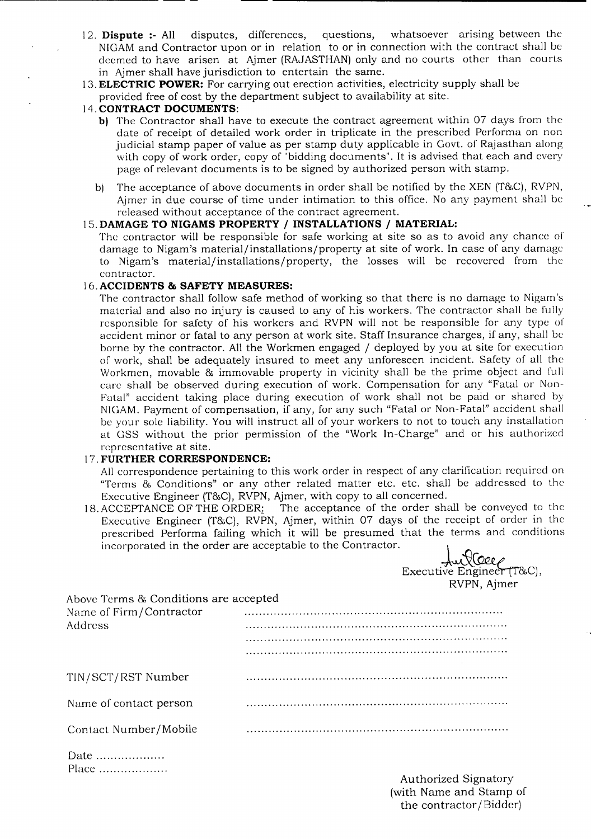- 12. **Dispute :-** All disputes, differences, questions, whatsoever arismg between the NIGAMand Contractor upon or in relation to or in connection with the contract shall be deemed to have arisen at Ajmer (RAJASTHAN) only and no courts other than courts in Ajmer shall have jurisdiction to entertain the same.
- 13.**ELECTRIC POWER:** For carrying out erection activities, electricity supply shall be provided free of cost by the department subject to availability at site.

## 14. **CONTRACT DOCUMENTS:**

-------------------------- --- -

- b) The Contractor shall have to execute the contract agreement within 07 days from the date of receipt of detailed work order in triplicate in the prescribed Performa on non judicial stamp paper of value as per stamp duty applicable in Govt. of Rajasthan along with copy of work order, copy of "bidding documents". It is advised that each and every page of relevant documents is to be signed by authorized person with stamp.
- b) The acceptance of above documents in order shall be notified by the XEN (T&C), RVPN, Ajmer in due course of time under intimation to this office. No any payment shall be released without acceptance of the contract agreement.

### 15. **DAMAGE TO NIGAMS PROPERTY / INSTALLATIONS / MATERIAL:**

The contractor will be responsible for safe working at site so as to avoid any chance of damage to Nigam's material/installations/property at site of work. In case of any damage to Nigam's material/installations/property, the losses will be recovered from the contractor.

### 16.**ACCIDENTS & SAFETY MEASURES:**

The contractor shall follow safe method of working so that there is no damage to Nigam's material and also no injury is caused to any of his workers. The contractor shall be fully responsible for safety of his workers and RVPN will not be responsible for any type of accident minor or fatal to any person at work site. Staff Insurance charges, if any, shall be borne by the contractor. All the Workmen engaged / deployed by you at site for execution of work, shall be adequately insured to meet any unforeseen incident. Safety of all the Workmen, movable & immovable property in vicinity shall be the prime object and full care shall be observed during execution of work. Compensation for any "Fatal or Non-Fatal" accident taking place during execution of work shall not be paid or shared by NIGAM.Payment of compensation, if any, for any such "Fatal or Non-Fatal" accident shall be your sole liability. You will instruct all of your workers to not to touch any installation at GSS without the prior permission of the "Work In-Charge" and or his authorized representative at site.

### 17. **FURTHER CORRESPONDENCE:**

All correspondence pertaining to this work order in respect of any clarification required on "Terms & Conditions" or any other related matter etc. etc. shall be addressed to the Executive Engineer (T&C), RVPN, Ajmer, with copy to all concerned.

18. ACCEPTANCE OF THE ORDER: The acceptance of the order shall be conveyed to the Executive Engineer (T&C), RVPN, Ajmer, within 07 days of the receipt of order in the prescribed Performa failing which it will be presumed that the terms and conditions<br>incorporated in the order are acceptable to the Contractor.

|                                       | Executive Engineer (T&C),<br>RVPN, Ajmer |
|---------------------------------------|------------------------------------------|
| Above Terms & Conditions are accepted |                                          |
| Name of Firm/Contractor               |                                          |
| Address                               |                                          |
|                                       |                                          |
|                                       |                                          |
| TIN/SCT/RST Number                    |                                          |
| Name of contact person                |                                          |
| Contact Number/Mobile                 |                                          |
|                                       |                                          |

| Date  |  |  |  |  |  |  |  |  |  |  |  |
|-------|--|--|--|--|--|--|--|--|--|--|--|
| Place |  |  |  |  |  |  |  |  |  |  |  |

Authorized Signatory (with Name and Stamp of the contractor /Bidder)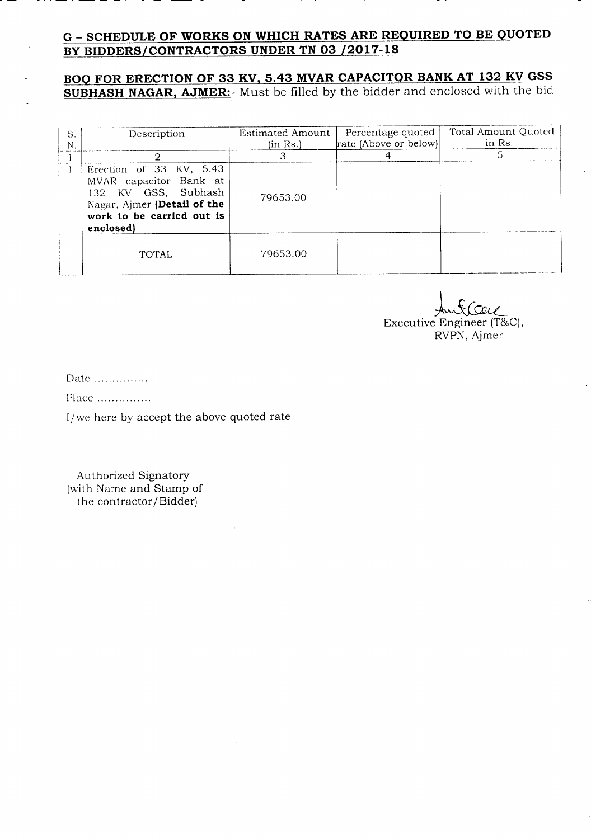## G - **SCHEDULE OF WORKS ON WHICH RATES ARE REQUIRED TO BE QUOTED BY BIDDERS/CONTRACTORS UNDER TN 03 /2017-18**

## **BOQ FOR ERECTION OF 33 KV, 5.43 MVAR CAPACITOR BANK AT 132 KV GSS SUBHASH NAGAR, AJMER:-** Must be filled by the bidder and enclosed with the bid

| S.<br>N | Description                                                                                                                                       | Estimated Amount<br>(in Rs.) | Percentage quoted<br>rate (Above or below) | Total Amount Quoted<br>in Rs. |
|---------|---------------------------------------------------------------------------------------------------------------------------------------------------|------------------------------|--------------------------------------------|-------------------------------|
|         |                                                                                                                                                   |                              |                                            |                               |
|         | Erection of 33 KV, 5.43<br>MVAR capacitor Bank at<br>132 KV GSS, Subhash<br>Nagar, Ajmer (Detail of the<br>work to be carried out is<br>enclosed) | 79653.00                     |                                            |                               |
|         | <b>TOTAL</b>                                                                                                                                      | 79653.00                     |                                            |                               |

l&~ Executive Engineer *(T&C),* RVPN, Ajmer

Date ...............

PIace .

1/we here by accept the above quoted rate

Authorized Signatory (with Name and Stamp of the contractor/Bidder)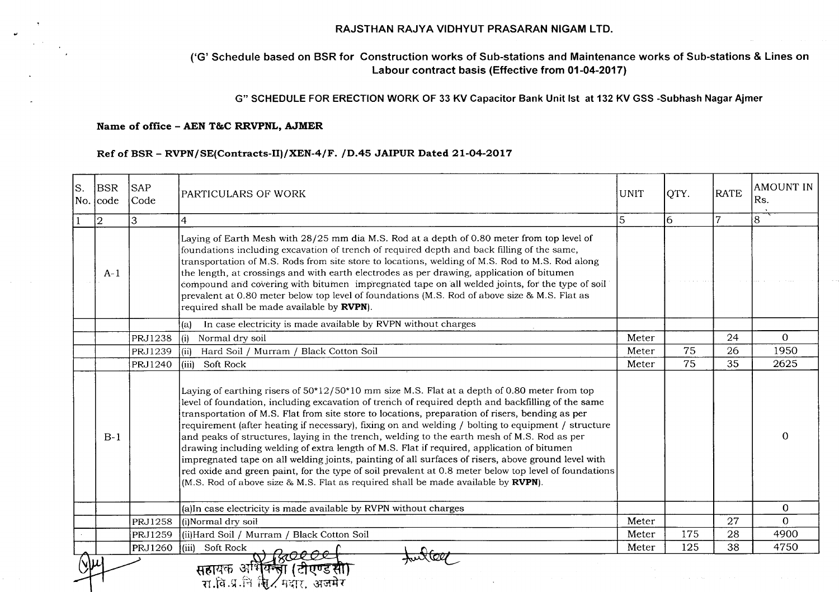#### RAJSTHAN RAJYA VIDHYUT PRASARAN NIGAM LTD.

### ('G' Schedule based on BSR for Construction works of Sub-stations and Maintenance works of Sub-stations & Lines on Labour contract basis (Effective from 01-04-2017)

### G" SCHEDULEFOR ERECTIONWORK OF 33 KV Capacitor Bank Unit 1st at 132 KV GSS -Subhash NagarAjmer

### Name of office - AEN T&C RRVPNL, AJMER

#### RefofBSR- RVPN/SE(Contracts-III/XEN-4/F. *10.45* JAIPUR Dated 21-04-2017

| ls. | <b>BSR</b><br>No. lcode | <b>SAP</b><br>Code | PARTICULARS OF WORK                                                                                                                                                                                                                                                                                                                                                                                                                                                                                                                                                                                                                                                                                                                                                                                                                                                                                          | <b>UNIT</b> | QTY. | <b>RATE</b>    | <b>AMOUNT IN</b><br>Rs. |
|-----|-------------------------|--------------------|--------------------------------------------------------------------------------------------------------------------------------------------------------------------------------------------------------------------------------------------------------------------------------------------------------------------------------------------------------------------------------------------------------------------------------------------------------------------------------------------------------------------------------------------------------------------------------------------------------------------------------------------------------------------------------------------------------------------------------------------------------------------------------------------------------------------------------------------------------------------------------------------------------------|-------------|------|----------------|-------------------------|
|     | $ 2\rangle$             | 3                  | 4                                                                                                                                                                                                                                                                                                                                                                                                                                                                                                                                                                                                                                                                                                                                                                                                                                                                                                            | 5           | 16.  | $\overline{7}$ | 8                       |
|     | $A-1$                   |                    | Laying of Earth Mesh with 28/25 mm dia M.S. Rod at a depth of 0.80 meter from top level of<br>foundations including excavation of trench of required depth and back filling of the same,<br>transportation of M.S. Rods from site store to locations, welding of M.S. Rod to M.S. Rod along<br>the length, at crossings and with earth electrodes as per drawing, application of bitumen<br>compound and covering with bitumen impregnated tape on all welded joints, for the type of soil<br>prevalent at 0.80 meter below top level of foundations (M.S. Rod of above size & M.S. Flat as<br>required shall be made available by RVPN).                                                                                                                                                                                                                                                                    |             |      |                |                         |
|     |                         |                    | In case electricity is made available by RVPN without charges<br>(a)                                                                                                                                                                                                                                                                                                                                                                                                                                                                                                                                                                                                                                                                                                                                                                                                                                         |             |      |                |                         |
|     |                         | <b>PRJ1238</b>     | Normal dry soil<br>(i)                                                                                                                                                                                                                                                                                                                                                                                                                                                                                                                                                                                                                                                                                                                                                                                                                                                                                       | Meter       |      | 24             | $\Omega$                |
|     |                         | PRJ1239            | Hard Soil / Murram / Black Cotton Soil<br>(iii)                                                                                                                                                                                                                                                                                                                                                                                                                                                                                                                                                                                                                                                                                                                                                                                                                                                              | Meter       | 75   | 26             | 1950                    |
|     |                         | PRJ1240            | (iii) Soft Rock                                                                                                                                                                                                                                                                                                                                                                                                                                                                                                                                                                                                                                                                                                                                                                                                                                                                                              | Meter       | 75   | 35             | 2625                    |
|     | $B-1$                   |                    | Laying of earthing risers of 50*12/50*10 mm size M.S. Flat at a depth of 0.80 meter from top<br>level of foundation, including excavation of trench of required depth and backfilling of the same<br>transportation of M.S. Flat from site store to locations, preparation of risers, bending as per<br>requirement (after heating if necessary), fixing on and welding / bolting to equipment / structure<br>and peaks of structures, laying in the trench, welding to the earth mesh of M.S. Rod as per<br>drawing including welding of extra length of M.S. Flat if required, application of bitumen<br>impregnated tape on all welding joints, painting of all surfaces of risers, above ground level with<br>red oxide and green paint, for the type of soil prevalent at 0.8 meter below top level of foundations<br>(M.S. Rod of above size & M.S. Flat as required shall be made available by RVPN). |             |      |                | 0                       |
|     |                         |                    | (a)In case electricity is made available by RVPN without charges                                                                                                                                                                                                                                                                                                                                                                                                                                                                                                                                                                                                                                                                                                                                                                                                                                             |             |      |                | $\mathbf 0$             |
|     |                         | <b>PRJ1258</b>     | (i)Normal dry soil                                                                                                                                                                                                                                                                                                                                                                                                                                                                                                                                                                                                                                                                                                                                                                                                                                                                                           | Meter       |      | 27             | $\Omega$                |
|     |                         | <b>PRJ1259</b>     | (ii) Hard Soil / Murram / Black Cotton Soil                                                                                                                                                                                                                                                                                                                                                                                                                                                                                                                                                                                                                                                                                                                                                                                                                                                                  | Meter       | 175  | 28             | 4900                    |
|     |                         | <b>PRJ1260</b>     | (iii) Soft Rock                                                                                                                                                                                                                                                                                                                                                                                                                                                                                                                                                                                                                                                                                                                                                                                                                                                                                              | Meter       | 125  | 38             | 4750                    |
|     |                         |                    | सहायक अभियन्त्रा (टीएण्डसा<br>रा.वि.प्र.नि क्षि. मदार. अजमेर                                                                                                                                                                                                                                                                                                                                                                                                                                                                                                                                                                                                                                                                                                                                                                                                                                                 |             |      |                |                         |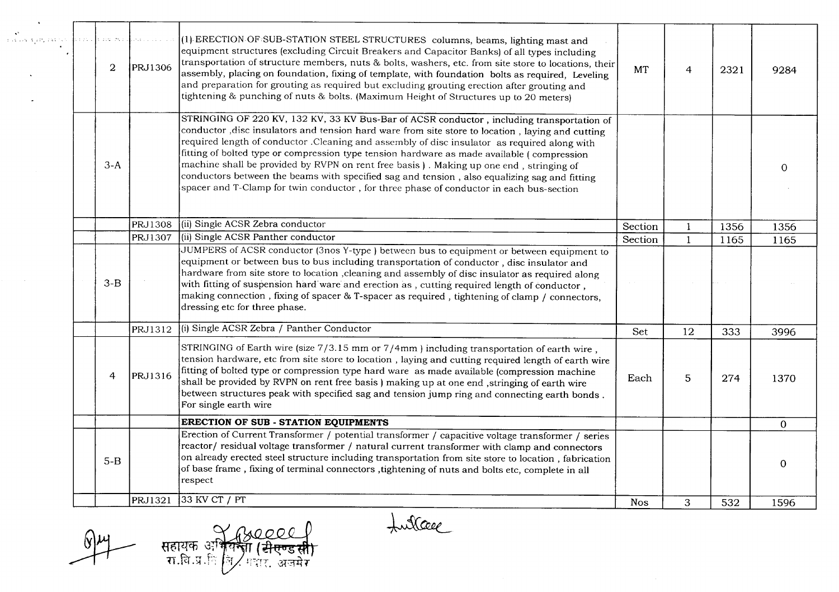| STRINGING OF 220 KV, 132 KV, 33 KV Bus-Bar of ACSR conductor, including transportation of<br>conductor , disc insulators and tension hard ware from site store to location, laying and cutting<br>required length of conductor. Cleaning and assembly of disc insulator as required along with<br>fitting of bolted type or compression type tension hardware as made available (compression<br>machine shall be provided by RVPN on rent free basis). Making up one end, stringing of<br>$3-A$<br>$\Omega$<br>conductors between the beams with specified sag and tension, also equalizing sag and fitting<br>spacer and T-Clamp for twin conductor, for three phase of conductor in each bus-section<br>(ii) Single ACSR Zebra conductor<br>PRJ1308<br>Section<br>1356<br>1356<br>-1<br>(ii) Single ACSR Panther conductor<br>PRJ1307<br>$\mathbf{1}$<br>Section<br>1165<br>1165<br>JUMPERS of ACSR conductor (3nos Y-type) between bus to equipment or between equipment to<br>equipment or between bus to bus including transportation of conductor, disc insulator and<br>hardware from site store to location , cleaning and assembly of disc insulator as required along<br>$3-B$<br>with fitting of suspension hard ware and erection as , cutting required length of conductor ,<br>making connection, fixing of spacer & T-spacer as required, tightening of clamp / connectors,<br>dressing etc for three phase.<br>(i) Single ACSR Zebra / Panther Conductor<br>PRJ1312<br>12<br>Set<br>333<br>3996<br>STRINGING of Earth wire (size $7/3.15$ mm or $7/4$ mm) including transportation of earth wire,<br>tension hardware, etc from site store to location , laying and cutting required length of earth wire<br>fitting of bolted type or compression type hard ware as made available (compression machine<br>PRJ1316<br>$\overline{4}$<br>5<br>274<br>Each<br>1370<br>shall be provided by RVPN on rent free basis ) making up at one end ,stringing of earth wire<br>between structures peak with specified sag and tension jump ring and connecting earth bonds.<br>For single earth wire<br>ERECTION OF SUB - STATION EQUIPMENTS<br>$\mathbf{O}$<br>Erection of Current Transformer / potential transformer / capacitive voltage transformer / series<br>reactor/residual voltage transformer / natural current transformer with clamp and connectors<br>on already erected steel structure including transportation from site store to location, fabrication<br>$5 - B$<br>$\overline{0}$<br>of base frame, fixing of terminal connectors, tightening of nuts and bolts etc, complete in all<br>respect<br>33 KV CT / PT<br>PRJ1321<br>3<br>532<br><b>Nos</b><br>1596 | robok tim, istor | a bortu u | $\overline{2}$ | van Serberger<br><b>PRJ1306</b> | (1) ERECTION OF SUB-STATION STEEL STRUCTURES columns, beams, lighting mast and<br>equipment structures (excluding Circuit Breakers and Capacitor Banks) of all types including<br>transportation of structure members, nuts & bolts, washers, etc. from site store to locations, their<br>assembly, placing on foundation, fixing of template, with foundation bolts as required, Leveling<br>and preparation for grouting as required but excluding grouting erection after grouting and<br>tightening & punching of nuts & bolts. (Maximum Height of Structures up to 20 meters) | <b>MT</b> | $\overline{4}$ | 2321 | 9284 |
|------------------------------------------------------------------------------------------------------------------------------------------------------------------------------------------------------------------------------------------------------------------------------------------------------------------------------------------------------------------------------------------------------------------------------------------------------------------------------------------------------------------------------------------------------------------------------------------------------------------------------------------------------------------------------------------------------------------------------------------------------------------------------------------------------------------------------------------------------------------------------------------------------------------------------------------------------------------------------------------------------------------------------------------------------------------------------------------------------------------------------------------------------------------------------------------------------------------------------------------------------------------------------------------------------------------------------------------------------------------------------------------------------------------------------------------------------------------------------------------------------------------------------------------------------------------------------------------------------------------------------------------------------------------------------------------------------------------------------------------------------------------------------------------------------------------------------------------------------------------------------------------------------------------------------------------------------------------------------------------------------------------------------------------------------------------------------------------------------------------------------------------------------------------------------------------------------------------------------------------------------------------------------------------------------------------------------------------------------------------------------------------------------------------------------------------------------------------------------------------------------------------------------------------------------------------------------------------------------------------------------------------------------------------------------------------|------------------|-----------|----------------|---------------------------------|------------------------------------------------------------------------------------------------------------------------------------------------------------------------------------------------------------------------------------------------------------------------------------------------------------------------------------------------------------------------------------------------------------------------------------------------------------------------------------------------------------------------------------------------------------------------------------|-----------|----------------|------|------|
|                                                                                                                                                                                                                                                                                                                                                                                                                                                                                                                                                                                                                                                                                                                                                                                                                                                                                                                                                                                                                                                                                                                                                                                                                                                                                                                                                                                                                                                                                                                                                                                                                                                                                                                                                                                                                                                                                                                                                                                                                                                                                                                                                                                                                                                                                                                                                                                                                                                                                                                                                                                                                                                                                          |                  |           |                |                                 |                                                                                                                                                                                                                                                                                                                                                                                                                                                                                                                                                                                    |           |                |      |      |
|                                                                                                                                                                                                                                                                                                                                                                                                                                                                                                                                                                                                                                                                                                                                                                                                                                                                                                                                                                                                                                                                                                                                                                                                                                                                                                                                                                                                                                                                                                                                                                                                                                                                                                                                                                                                                                                                                                                                                                                                                                                                                                                                                                                                                                                                                                                                                                                                                                                                                                                                                                                                                                                                                          |                  |           |                |                                 |                                                                                                                                                                                                                                                                                                                                                                                                                                                                                                                                                                                    |           |                |      |      |
|                                                                                                                                                                                                                                                                                                                                                                                                                                                                                                                                                                                                                                                                                                                                                                                                                                                                                                                                                                                                                                                                                                                                                                                                                                                                                                                                                                                                                                                                                                                                                                                                                                                                                                                                                                                                                                                                                                                                                                                                                                                                                                                                                                                                                                                                                                                                                                                                                                                                                                                                                                                                                                                                                          |                  |           |                |                                 |                                                                                                                                                                                                                                                                                                                                                                                                                                                                                                                                                                                    |           |                |      |      |
|                                                                                                                                                                                                                                                                                                                                                                                                                                                                                                                                                                                                                                                                                                                                                                                                                                                                                                                                                                                                                                                                                                                                                                                                                                                                                                                                                                                                                                                                                                                                                                                                                                                                                                                                                                                                                                                                                                                                                                                                                                                                                                                                                                                                                                                                                                                                                                                                                                                                                                                                                                                                                                                                                          |                  |           |                |                                 |                                                                                                                                                                                                                                                                                                                                                                                                                                                                                                                                                                                    |           |                |      |      |
|                                                                                                                                                                                                                                                                                                                                                                                                                                                                                                                                                                                                                                                                                                                                                                                                                                                                                                                                                                                                                                                                                                                                                                                                                                                                                                                                                                                                                                                                                                                                                                                                                                                                                                                                                                                                                                                                                                                                                                                                                                                                                                                                                                                                                                                                                                                                                                                                                                                                                                                                                                                                                                                                                          |                  |           |                |                                 |                                                                                                                                                                                                                                                                                                                                                                                                                                                                                                                                                                                    |           |                |      |      |
|                                                                                                                                                                                                                                                                                                                                                                                                                                                                                                                                                                                                                                                                                                                                                                                                                                                                                                                                                                                                                                                                                                                                                                                                                                                                                                                                                                                                                                                                                                                                                                                                                                                                                                                                                                                                                                                                                                                                                                                                                                                                                                                                                                                                                                                                                                                                                                                                                                                                                                                                                                                                                                                                                          |                  |           |                |                                 |                                                                                                                                                                                                                                                                                                                                                                                                                                                                                                                                                                                    |           |                |      |      |
|                                                                                                                                                                                                                                                                                                                                                                                                                                                                                                                                                                                                                                                                                                                                                                                                                                                                                                                                                                                                                                                                                                                                                                                                                                                                                                                                                                                                                                                                                                                                                                                                                                                                                                                                                                                                                                                                                                                                                                                                                                                                                                                                                                                                                                                                                                                                                                                                                                                                                                                                                                                                                                                                                          |                  |           |                |                                 |                                                                                                                                                                                                                                                                                                                                                                                                                                                                                                                                                                                    |           |                |      |      |
|                                                                                                                                                                                                                                                                                                                                                                                                                                                                                                                                                                                                                                                                                                                                                                                                                                                                                                                                                                                                                                                                                                                                                                                                                                                                                                                                                                                                                                                                                                                                                                                                                                                                                                                                                                                                                                                                                                                                                                                                                                                                                                                                                                                                                                                                                                                                                                                                                                                                                                                                                                                                                                                                                          |                  |           |                |                                 |                                                                                                                                                                                                                                                                                                                                                                                                                                                                                                                                                                                    |           |                |      |      |
|                                                                                                                                                                                                                                                                                                                                                                                                                                                                                                                                                                                                                                                                                                                                                                                                                                                                                                                                                                                                                                                                                                                                                                                                                                                                                                                                                                                                                                                                                                                                                                                                                                                                                                                                                                                                                                                                                                                                                                                                                                                                                                                                                                                                                                                                                                                                                                                                                                                                                                                                                                                                                                                                                          |                  |           |                |                                 |                                                                                                                                                                                                                                                                                                                                                                                                                                                                                                                                                                                    |           |                |      |      |

 $\frac{6}{4}$ 

सहायक अभियन्ता (सेएण्डसी)<br>रा.बि.प्र.ि जि. मदार, अजमेर

Lullage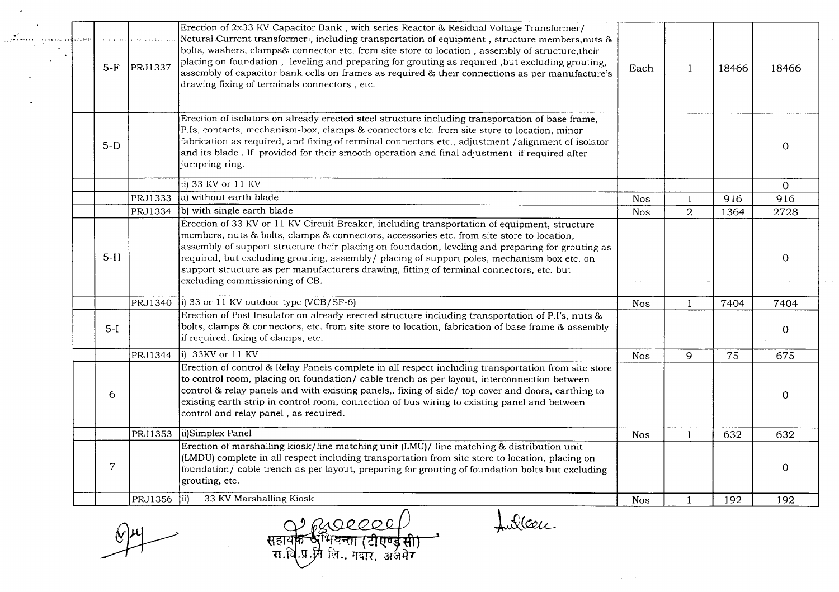| ar <sup>e</sup> l <del>and a component des a</del> | $5-F$          | <b>PRJ1337</b> | Erection of 2x33 KV Capacitor Bank, with series Reactor & Residual Voltage Transformer/<br>Netural Current transformer, including transportation of equipment, structure members, nuts &<br>bolts, washers, clamps& connector etc. from site store to location, assembly of structure, their<br>placing on foundation, leveling and preparing for grouting as required, but excluding grouting,<br>assembly of capacitor bank cells on frames as required & their connections as per manufacture's<br>drawing fixing of terminals connectors, etc. | Each       | $\mathbf{1}$   | 18466 | 18466          |  |
|----------------------------------------------------|----------------|----------------|----------------------------------------------------------------------------------------------------------------------------------------------------------------------------------------------------------------------------------------------------------------------------------------------------------------------------------------------------------------------------------------------------------------------------------------------------------------------------------------------------------------------------------------------------|------------|----------------|-------|----------------|--|
|                                                    | $5-D$          |                | Erection of isolators on already erected steel structure including transportation of base frame,<br>P.Is, contacts, mechanism-box, clamps & connectors etc. from site store to location, minor<br>fabrication as required, and fixing of terminal connectors etc., adjustment /alignment of isolator<br>and its blade. If provided for their smooth operation and final adjustment if required after<br>jumpring ring.                                                                                                                             |            |                |       | 0              |  |
|                                                    |                |                | ii) 33 KV or 11 KV                                                                                                                                                                                                                                                                                                                                                                                                                                                                                                                                 |            |                |       | $\overline{0}$ |  |
|                                                    |                | PRJ1333        | a) without earth blade                                                                                                                                                                                                                                                                                                                                                                                                                                                                                                                             | <b>Nos</b> |                | 916   | 916            |  |
|                                                    |                | PRJ1334        | b) with single earth blade                                                                                                                                                                                                                                                                                                                                                                                                                                                                                                                         | <b>Nos</b> | $\overline{2}$ | 1364  | 2728           |  |
|                                                    | $5-H$          |                | Erection of 33 KV or 11 KV Circuit Breaker, including transportation of equipment, structure<br>members, nuts & bolts, clamps & connectors, accessories etc. from site store to location,<br>assembly of support structure their placing on foundation, leveling and preparing for grouting as<br>required, but excluding grouting, assembly/ placing of support poles, mechanism box etc. on<br>support structure as per manufacturers drawing, fitting of terminal connectors, etc. but<br>excluding commissioning of CB.                        |            |                |       | $\mathbf 0$    |  |
|                                                    |                | PRJ1340        | $ i\rangle$ 33 or 11 KV outdoor type (VCB/SF-6)                                                                                                                                                                                                                                                                                                                                                                                                                                                                                                    | <b>Nos</b> |                | 7404  | 7404           |  |
|                                                    | $5-I$          |                | Erection of Post Insulator on already erected structure including transportation of P.I's, nuts &<br>bolts, clamps & connectors, etc. from site store to location, fabrication of base frame & assembly<br>if required, fixing of clamps, etc.                                                                                                                                                                                                                                                                                                     |            |                |       | $\mathbf 0$    |  |
|                                                    |                | PRJ1344        | $\sqrt{ii}$ 33KV or 11 KV                                                                                                                                                                                                                                                                                                                                                                                                                                                                                                                          | <b>Nos</b> | 9              | 75    | 675            |  |
|                                                    | 6              |                | Erection of control & Relay Panels complete in all respect including transportation from site store<br>to control room, placing on foundation/ cable trench as per layout, interconnection between<br>control & relay panels and with existing panels,. fixing of side/ top cover and doors, earthing to<br>existing earth strip in control room, connection of bus wiring to existing panel and between<br>control and relay panel, as required.                                                                                                  |            |                |       | 0              |  |
|                                                    |                | PRJ1353        | ii)Simplex Panel                                                                                                                                                                                                                                                                                                                                                                                                                                                                                                                                   | <b>Nos</b> | $\mathbf{1}$   | 632   | 632            |  |
|                                                    | $\overline{7}$ |                | Erection of marshalling kiosk/line matching unit (LMU)/ line matching & distribution unit<br>(LMDU) complete in all respect including transportation from site store to location, placing on<br>foundation/ cable trench as per layout, preparing for grouting of foundation bolts but excluding<br>grouting, etc.                                                                                                                                                                                                                                 |            |                |       | 0              |  |
|                                                    |                | PRJ1356        | 33 KV Marshalling Kiosk<br>$\vert$ ii)                                                                                                                                                                                                                                                                                                                                                                                                                                                                                                             | <b>Nos</b> |                | 192   | 192            |  |
|                                                    |                |                |                                                                                                                                                                                                                                                                                                                                                                                                                                                                                                                                                    |            |                |       |                |  |

 $(\gamma)$ uy ~

 $\langle \cdot \rangle$ 

 $\mathbf{r}$ 

C <sup>~</sup>*Q{)OOQO* ~ सहायक अभिवन्ता (टीएण्ड सी)

fulleur